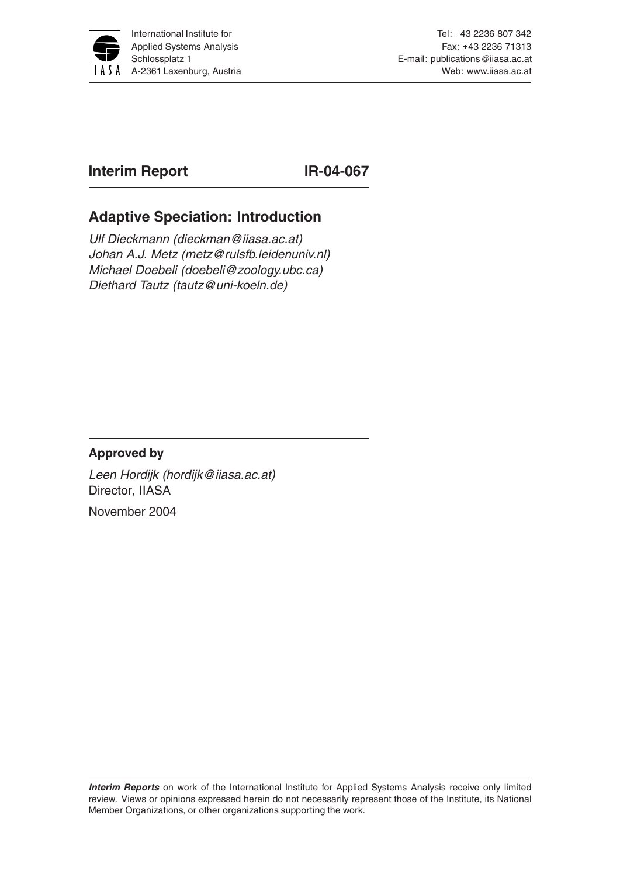

# **Interim Report IR-04-067**

# **Adaptive Speciation: Introduction**

Ulf Dieckmann (dieckman@iiasa.ac.at) Johan A.J. Metz (metz@rulsfb.leidenuniv.nl) Michael Doebeli (doebeli@zoology.ubc.ca) Diethard Tautz (tautz@uni-koeln.de)

#### **Approved by**

Leen Hordijk (hordijk@iiasa.ac.at) Director, IIASA

November 2004

**Interim Reports** on work of the International Institute for Applied Systems Analysis receive only limited review. Views or opinions expressed herein do not necessarily represent those of the Institute, its National Member Organizations, or other organizations supporting the work.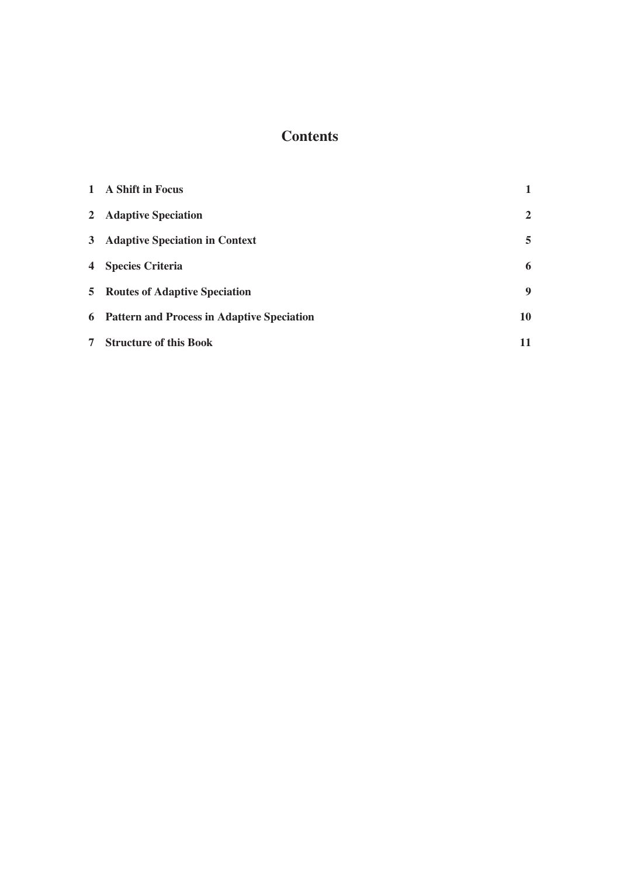# **Contents**

|                | 1 A Shift in Focus                                  |                |
|----------------|-----------------------------------------------------|----------------|
|                | 2 Adaptive Speciation                               | $\overline{2}$ |
|                | 3 Adaptive Speciation in Context                    | 5              |
|                | 4 Species Criteria                                  | 6              |
|                | <b>5</b> Routes of Adaptive Speciation              | 9              |
|                | <b>6</b> Pattern and Process in Adaptive Speciation | 10             |
| 7 <sup>7</sup> | <b>Structure of this Book</b>                       | 11             |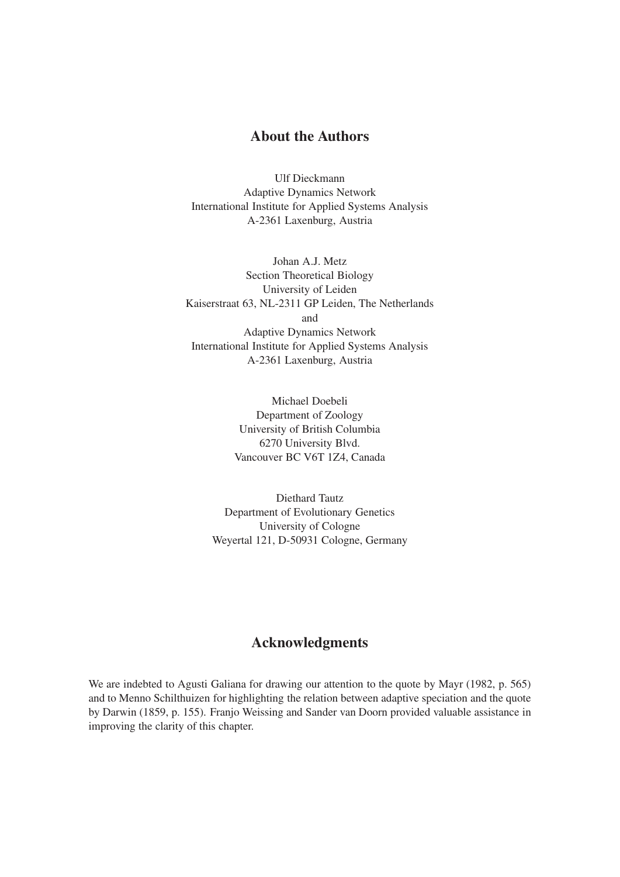### **About the Authors**

Ulf Dieckmann Adaptive Dynamics Network International Institute for Applied Systems Analysis A-2361 Laxenburg, Austria

Johan A.J. Metz Section Theoretical Biology University of Leiden Kaiserstraat 63, NL-2311 GP Leiden, The Netherlands and Adaptive Dynamics Network International Institute for Applied Systems Analysis A-2361 Laxenburg, Austria

> Michael Doebeli Department of Zoology University of British Columbia 6270 University Blvd. Vancouver BC V6T 1Z4, Canada

Diethard Tautz Department of Evolutionary Genetics University of Cologne Weyertal 121, D-50931 Cologne, Germany

#### **Acknowledgments**

We are indebted to Agusti Galiana for drawing our attention to the quote by Mayr (1982, p. 565) and to Menno Schilthuizen for highlighting the relation between adaptive speciation and the quote by Darwin (1859, p. 155). Franjo Weissing and Sander van Doorn provided valuable assistance in improving the clarity of this chapter.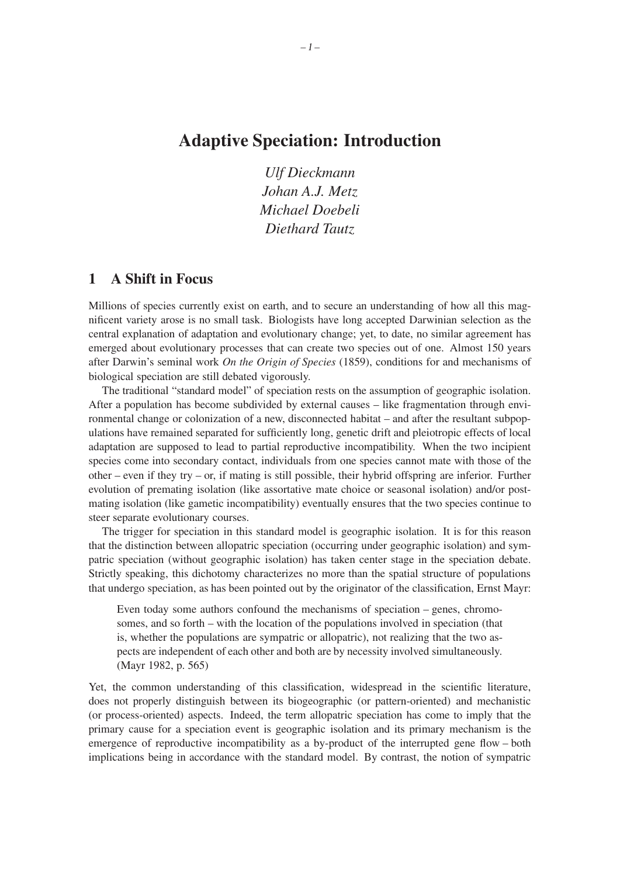# **Adaptive Speciation: Introduction**

*Ulf Dieckmann Johan A.J. Metz Michael Doebeli Diethard Tautz*

#### **1 A Shift in Focus**

Millions of species currently exist on earth, and to secure an understanding of how all this magnificent variety arose is no small task. Biologists have long accepted Darwinian selection as the central explanation of adaptation and evolutionary change; yet, to date, no similar agreement has emerged about evolutionary processes that can create two species out of one. Almost 150 years after Darwin's seminal work *On the Origin of Species* (1859), conditions for and mechanisms of biological speciation are still debated vigorously.

The traditional "standard model" of speciation rests on the assumption of geographic isolation. After a population has become subdivided by external causes – like fragmentation through environmental change or colonization of a new, disconnected habitat – and after the resultant subpopulations have remained separated for sufficiently long, genetic drift and pleiotropic effects of local adaptation are supposed to lead to partial reproductive incompatibility. When the two incipient species come into secondary contact, individuals from one species cannot mate with those of the other – even if they try – or, if mating is still possible, their hybrid offspring are inferior. Further evolution of premating isolation (like assortative mate choice or seasonal isolation) and/or postmating isolation (like gametic incompatibility) eventually ensures that the two species continue to steer separate evolutionary courses.

The trigger for speciation in this standard model is geographic isolation. It is for this reason that the distinction between allopatric speciation (occurring under geographic isolation) and sympatric speciation (without geographic isolation) has taken center stage in the speciation debate. Strictly speaking, this dichotomy characterizes no more than the spatial structure of populations that undergo speciation, as has been pointed out by the originator of the classification, Ernst Mayr:

Even today some authors confound the mechanisms of speciation – genes, chromosomes, and so forth – with the location of the populations involved in speciation (that is, whether the populations are sympatric or allopatric), not realizing that the two aspects are independent of each other and both are by necessity involved simultaneously. (Mayr 1982, p. 565)

Yet, the common understanding of this classification, widespread in the scientific literature, does not properly distinguish between its biogeographic (or pattern-oriented) and mechanistic (or process-oriented) aspects. Indeed, the term allopatric speciation has come to imply that the primary cause for a speciation event is geographic isolation and its primary mechanism is the emergence of reproductive incompatibility as a by-product of the interrupted gene flow – both implications being in accordance with the standard model. By contrast, the notion of sympatric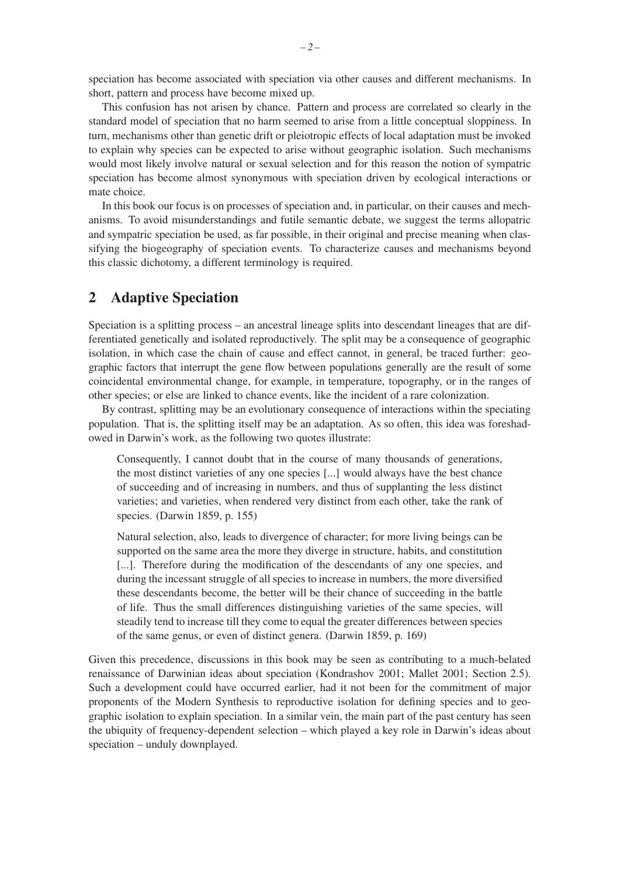speciation has become associated with speciation via other causes and different mechanisms. In short, pattern and process have become mixed up.

This confusion has not arisen by chance. Pattern and process are correlated so clearly in the standard model of speciation that no harm seemed to arise from a little conceptual sloppiness. In turn, mechanisms other than genetic drift or pleiotropic effects of local adaptation must be invoked to explain why species can be expected to arise without geographic isolation. Such mechanisms would most likely involve natural or sexual selection and for this reason the notion of sympatric speciation has become almost synonymous with speciation driven by ecological interactions or mate choice.

In this book our focus is on processes of speciation and, in particular, on their causes and mechanisms. To avoid misunderstandings and futile semantic debate, we suggest the terms allopatric and sympatric speciation be used, as far possible, in their original and precise meaning when classifying the biogeography of speciation events. To characterize causes and mechanisms beyond this classic dichotomy, a different terminology is required.

#### **2 Adaptive Speciation**

Speciation is a splitting process – an ancestral lineage splits into descendant lineages that are differentiated genetically and isolated reproductively. The split may be a consequence of geographic isolation, in which case the chain of cause and effect cannot, in general, be traced further: geographic factors that interrupt the gene flow between populations generally are the result of some coincidental environmental change, for example, in temperature, topography, or in the ranges of other species; or else are linked to chance events, like the incident of a rare colonization.

By contrast, splitting may be an evolutionary consequence of interactions within the speciating population. That is, the splitting itself may be an adaptation. As so often, this idea was foreshadowed in Darwin's work, as the following two quotes illustrate:

Consequently, I cannot doubt that in the course of many thousands of generations, the most distinct varieties of any one species [...] would always have the best chance of succeeding and of increasing in numbers, and thus of supplanting the less distinct varieties; and varieties, when rendered very distinct from each other, take the rank of species. (Darwin 1859, p. 155)

Natural selection, also, leads to divergence of character; for more living beings can be supported on the same area the more they diverge in structure, habits, and constitution [...]. Therefore during the modification of the descendants of any one species, and during the incessant struggle of all species to increase in numbers, the more diversified these descendants become, the better will be their chance of succeeding in the battle of life. Thus the small differences distinguishing varieties of the same species, will steadily tend to increase till they come to equal the greater differences between species of the same genus, or even of distinct genera. (Darwin 1859, p. 169)

Given this precedence, discussions in this book may be seen as contributing to a much-belated renaissance of Darwinian ideas about speciation (Kondrashov 2001; Mallet 2001; Section 2.5). Such a development could have occurred earlier, had it not been for the commitment of major proponents of the Modern Synthesis to reproductive isolation for defining species and to geographic isolation to explain speciation. In a similar vein, the main part of the past century has seen the ubiquity of frequency-dependent selection – which played a key role in Darwin's ideas about speciation – unduly downplayed.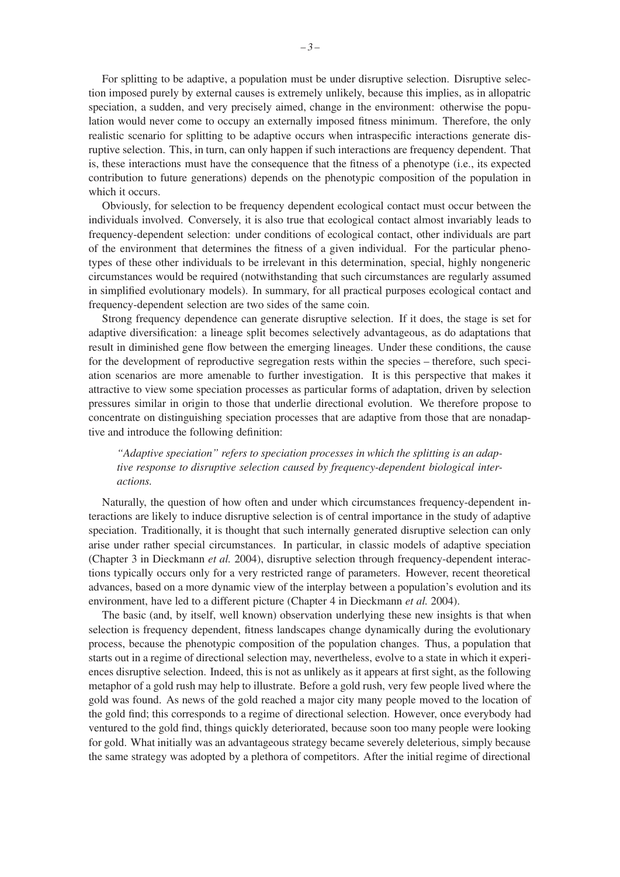For splitting to be adaptive, a population must be under disruptive selection. Disruptive selection imposed purely by external causes is extremely unlikely, because this implies, as in allopatric speciation, a sudden, and very precisely aimed, change in the environment: otherwise the population would never come to occupy an externally imposed fitness minimum. Therefore, the only realistic scenario for splitting to be adaptive occurs when intraspecific interactions generate disruptive selection. This, in turn, can only happen if such interactions are frequency dependent. That is, these interactions must have the consequence that the fitness of a phenotype (i.e., its expected contribution to future generations) depends on the phenotypic composition of the population in which it occurs.

Obviously, for selection to be frequency dependent ecological contact must occur between the individuals involved. Conversely, it is also true that ecological contact almost invariably leads to frequency-dependent selection: under conditions of ecological contact, other individuals are part of the environment that determines the fitness of a given individual. For the particular phenotypes of these other individuals to be irrelevant in this determination, special, highly nongeneric circumstances would be required (notwithstanding that such circumstances are regularly assumed in simplified evolutionary models). In summary, for all practical purposes ecological contact and frequency-dependent selection are two sides of the same coin.

Strong frequency dependence can generate disruptive selection. If it does, the stage is set for adaptive diversification: a lineage split becomes selectively advantageous, as do adaptations that result in diminished gene flow between the emerging lineages. Under these conditions, the cause for the development of reproductive segregation rests within the species – therefore, such speciation scenarios are more amenable to further investigation. It is this perspective that makes it attractive to view some speciation processes as particular forms of adaptation, driven by selection pressures similar in origin to those that underlie directional evolution. We therefore propose to concentrate on distinguishing speciation processes that are adaptive from those that are nonadaptive and introduce the following definition:

#### *"Adaptive speciation" refers to speciation processes in which the splitting is an adaptive response to disruptive selection caused by frequency-dependent biological interactions.*

Naturally, the question of how often and under which circumstances frequency-dependent interactions are likely to induce disruptive selection is of central importance in the study of adaptive speciation. Traditionally, it is thought that such internally generated disruptive selection can only arise under rather special circumstances. In particular, in classic models of adaptive speciation (Chapter 3 in Dieckmann *et al.* 2004), disruptive selection through frequency-dependent interactions typically occurs only for a very restricted range of parameters. However, recent theoretical advances, based on a more dynamic view of the interplay between a population's evolution and its environment, have led to a different picture (Chapter 4 in Dieckmann *et al.* 2004).

The basic (and, by itself, well known) observation underlying these new insights is that when selection is frequency dependent, fitness landscapes change dynamically during the evolutionary process, because the phenotypic composition of the population changes. Thus, a population that starts out in a regime of directional selection may, nevertheless, evolve to a state in which it experiences disruptive selection. Indeed, this is not as unlikely as it appears at first sight, as the following metaphor of a gold rush may help to illustrate. Before a gold rush, very few people lived where the gold was found. As news of the gold reached a major city many people moved to the location of the gold find; this corresponds to a regime of directional selection. However, once everybody had ventured to the gold find, things quickly deteriorated, because soon too many people were looking for gold. What initially was an advantageous strategy became severely deleterious, simply because the same strategy was adopted by a plethora of competitors. After the initial regime of directional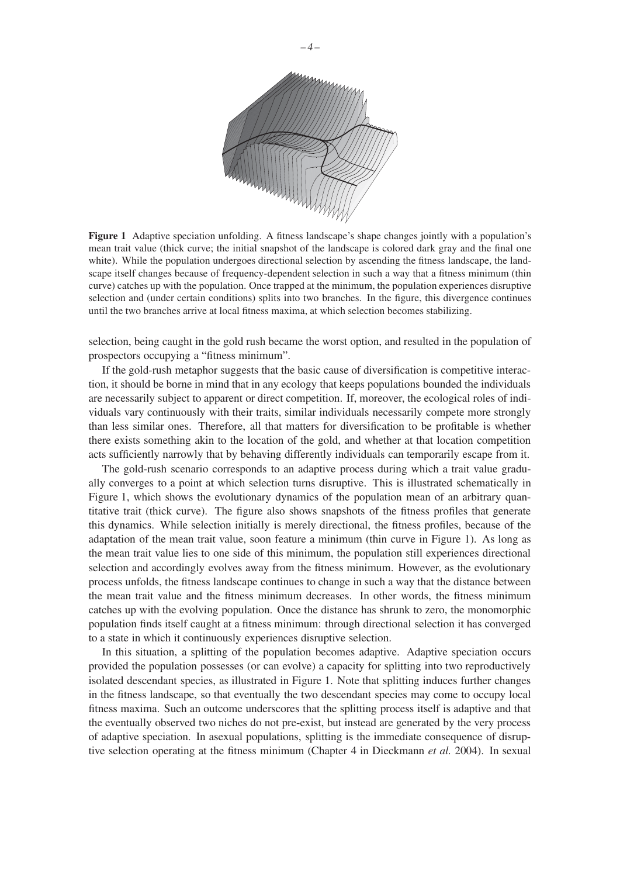

**Figure 1** Adaptive speciation unfolding. A fitness landscape's shape changes jointly with a population's mean trait value (thick curve; the initial snapshot of the landscape is colored dark gray and the final one white). While the population undergoes directional selection by ascending the fitness landscape, the landscape itself changes because of frequency-dependent selection in such a way that a fitness minimum (thin curve) catches up with the population. Once trapped at the minimum, the population experiences disruptive selection and (under certain conditions) splits into two branches. In the figure, this divergence continues until the two branches arrive at local fitness maxima, at which selection becomes stabilizing.

selection, being caught in the gold rush became the worst option, and resulted in the population of prospectors occupying a "fitness minimum".

If the gold-rush metaphor suggests that the basic cause of diversification is competitive interaction, it should be borne in mind that in any ecology that keeps populations bounded the individuals are necessarily subject to apparent or direct competition. If, moreover, the ecological roles of individuals vary continuously with their traits, similar individuals necessarily compete more strongly than less similar ones. Therefore, all that matters for diversification to be profitable is whether there exists something akin to the location of the gold, and whether at that location competition acts sufficiently narrowly that by behaving differently individuals can temporarily escape from it.

The gold-rush scenario corresponds to an adaptive process during which a trait value gradually converges to a point at which selection turns disruptive. This is illustrated schematically in Figure 1, which shows the evolutionary dynamics of the population mean of an arbitrary quantitative trait (thick curve). The figure also shows snapshots of the fitness profiles that generate this dynamics. While selection initially is merely directional, the fitness profiles, because of the adaptation of the mean trait value, soon feature a minimum (thin curve in Figure 1). As long as the mean trait value lies to one side of this minimum, the population still experiences directional selection and accordingly evolves away from the fitness minimum. However, as the evolutionary process unfolds, the fitness landscape continues to change in such a way that the distance between the mean trait value and the fitness minimum decreases. In other words, the fitness minimum catches up with the evolving population. Once the distance has shrunk to zero, the monomorphic population finds itself caught at a fitness minimum: through directional selection it has converged to a state in which it continuously experiences disruptive selection.

In this situation, a splitting of the population becomes adaptive. Adaptive speciation occurs provided the population possesses (or can evolve) a capacity for splitting into two reproductively isolated descendant species, as illustrated in Figure 1. Note that splitting induces further changes in the fitness landscape, so that eventually the two descendant species may come to occupy local fitness maxima. Such an outcome underscores that the splitting process itself is adaptive and that the eventually observed two niches do not pre-exist, but instead are generated by the very process of adaptive speciation. In asexual populations, splitting is the immediate consequence of disruptive selection operating at the fitness minimum (Chapter 4 in Dieckmann *et al.* 2004). In sexual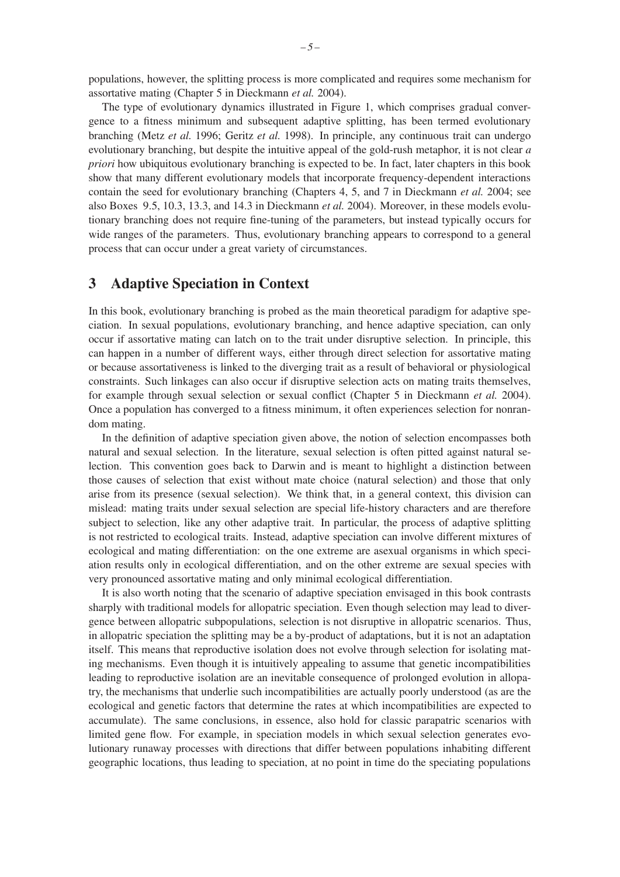populations, however, the splitting process is more complicated and requires some mechanism for assortative mating (Chapter 5 in Dieckmann *et al.* 2004).

The type of evolutionary dynamics illustrated in Figure 1, which comprises gradual convergence to a fitness minimum and subsequent adaptive splitting, has been termed evolutionary branching (Metz *et al.* 1996; Geritz *et al.* 1998). In principle, any continuous trait can undergo evolutionary branching, but despite the intuitive appeal of the gold-rush metaphor, it is not clear *a priori* how ubiquitous evolutionary branching is expected to be. In fact, later chapters in this book show that many different evolutionary models that incorporate frequency-dependent interactions contain the seed for evolutionary branching (Chapters 4, 5, and 7 in Dieckmann *et al.* 2004; see also Boxes 9.5, 10.3, 13.3, and 14.3 in Dieckmann *et al.* 2004). Moreover, in these models evolutionary branching does not require fine-tuning of the parameters, but instead typically occurs for wide ranges of the parameters. Thus, evolutionary branching appears to correspond to a general process that can occur under a great variety of circumstances.

#### **3 Adaptive Speciation in Context**

In this book, evolutionary branching is probed as the main theoretical paradigm for adaptive speciation. In sexual populations, evolutionary branching, and hence adaptive speciation, can only occur if assortative mating can latch on to the trait under disruptive selection. In principle, this can happen in a number of different ways, either through direct selection for assortative mating or because assortativeness is linked to the diverging trait as a result of behavioral or physiological constraints. Such linkages can also occur if disruptive selection acts on mating traits themselves, for example through sexual selection or sexual conflict (Chapter 5 in Dieckmann *et al.* 2004). Once a population has converged to a fitness minimum, it often experiences selection for nonrandom mating.

In the definition of adaptive speciation given above, the notion of selection encompasses both natural and sexual selection. In the literature, sexual selection is often pitted against natural selection. This convention goes back to Darwin and is meant to highlight a distinction between those causes of selection that exist without mate choice (natural selection) and those that only arise from its presence (sexual selection). We think that, in a general context, this division can mislead: mating traits under sexual selection are special life-history characters and are therefore subject to selection, like any other adaptive trait. In particular, the process of adaptive splitting is not restricted to ecological traits. Instead, adaptive speciation can involve different mixtures of ecological and mating differentiation: on the one extreme are asexual organisms in which speciation results only in ecological differentiation, and on the other extreme are sexual species with very pronounced assortative mating and only minimal ecological differentiation.

It is also worth noting that the scenario of adaptive speciation envisaged in this book contrasts sharply with traditional models for allopatric speciation. Even though selection may lead to divergence between allopatric subpopulations, selection is not disruptive in allopatric scenarios. Thus, in allopatric speciation the splitting may be a by-product of adaptations, but it is not an adaptation itself. This means that reproductive isolation does not evolve through selection for isolating mating mechanisms. Even though it is intuitively appealing to assume that genetic incompatibilities leading to reproductive isolation are an inevitable consequence of prolonged evolution in allopatry, the mechanisms that underlie such incompatibilities are actually poorly understood (as are the ecological and genetic factors that determine the rates at which incompatibilities are expected to accumulate). The same conclusions, in essence, also hold for classic parapatric scenarios with limited gene flow. For example, in speciation models in which sexual selection generates evolutionary runaway processes with directions that differ between populations inhabiting different geographic locations, thus leading to speciation, at no point in time do the speciating populations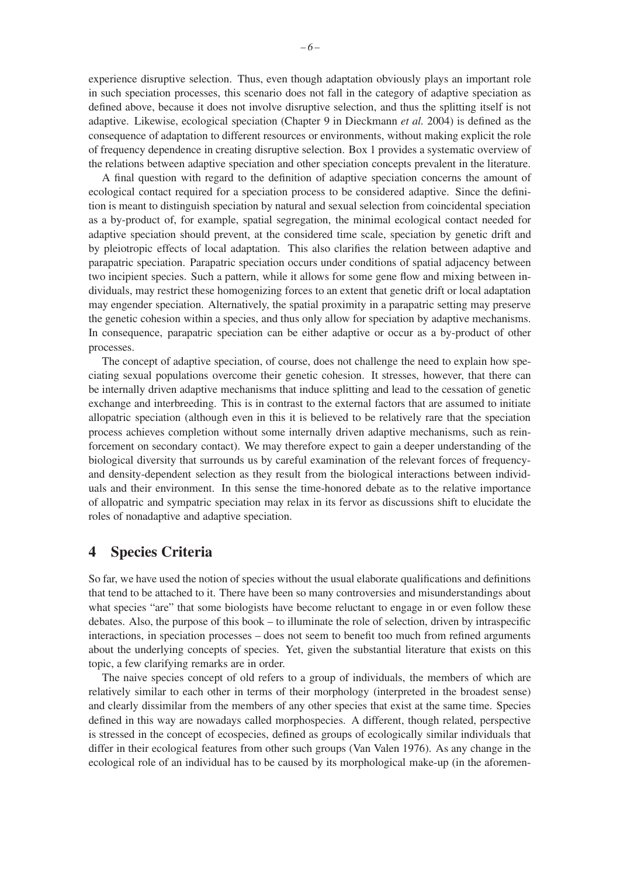experience disruptive selection. Thus, even though adaptation obviously plays an important role in such speciation processes, this scenario does not fall in the category of adaptive speciation as defined above, because it does not involve disruptive selection, and thus the splitting itself is not adaptive. Likewise, ecological speciation (Chapter 9 in Dieckmann *et al.* 2004) is defined as the consequence of adaptation to different resources or environments, without making explicit the role of frequency dependence in creating disruptive selection. Box 1 provides a systematic overview of the relations between adaptive speciation and other speciation concepts prevalent in the literature.

A final question with regard to the definition of adaptive speciation concerns the amount of ecological contact required for a speciation process to be considered adaptive. Since the definition is meant to distinguish speciation by natural and sexual selection from coincidental speciation as a by-product of, for example, spatial segregation, the minimal ecological contact needed for adaptive speciation should prevent, at the considered time scale, speciation by genetic drift and by pleiotropic effects of local adaptation. This also clarifies the relation between adaptive and parapatric speciation. Parapatric speciation occurs under conditions of spatial adjacency between two incipient species. Such a pattern, while it allows for some gene flow and mixing between individuals, may restrict these homogenizing forces to an extent that genetic drift or local adaptation may engender speciation. Alternatively, the spatial proximity in a parapatric setting may preserve the genetic cohesion within a species, and thus only allow for speciation by adaptive mechanisms. In consequence, parapatric speciation can be either adaptive or occur as a by-product of other processes.

The concept of adaptive speciation, of course, does not challenge the need to explain how speciating sexual populations overcome their genetic cohesion. It stresses, however, that there can be internally driven adaptive mechanisms that induce splitting and lead to the cessation of genetic exchange and interbreeding. This is in contrast to the external factors that are assumed to initiate allopatric speciation (although even in this it is believed to be relatively rare that the speciation process achieves completion without some internally driven adaptive mechanisms, such as reinforcement on secondary contact). We may therefore expect to gain a deeper understanding of the biological diversity that surrounds us by careful examination of the relevant forces of frequencyand density-dependent selection as they result from the biological interactions between individuals and their environment. In this sense the time-honored debate as to the relative importance of allopatric and sympatric speciation may relax in its fervor as discussions shift to elucidate the roles of nonadaptive and adaptive speciation.

#### **4 Species Criteria**

So far, we have used the notion of species without the usual elaborate qualifications and definitions that tend to be attached to it. There have been so many controversies and misunderstandings about what species "are" that some biologists have become reluctant to engage in or even follow these debates. Also, the purpose of this book – to illuminate the role of selection, driven by intraspecific interactions, in speciation processes – does not seem to benefit too much from refined arguments about the underlying concepts of species. Yet, given the substantial literature that exists on this topic, a few clarifying remarks are in order.

The naive species concept of old refers to a group of individuals, the members of which are relatively similar to each other in terms of their morphology (interpreted in the broadest sense) and clearly dissimilar from the members of any other species that exist at the same time. Species defined in this way are nowadays called morphospecies. A different, though related, perspective is stressed in the concept of ecospecies, defined as groups of ecologically similar individuals that differ in their ecological features from other such groups (Van Valen 1976). As any change in the ecological role of an individual has to be caused by its morphological make-up (in the aforemen-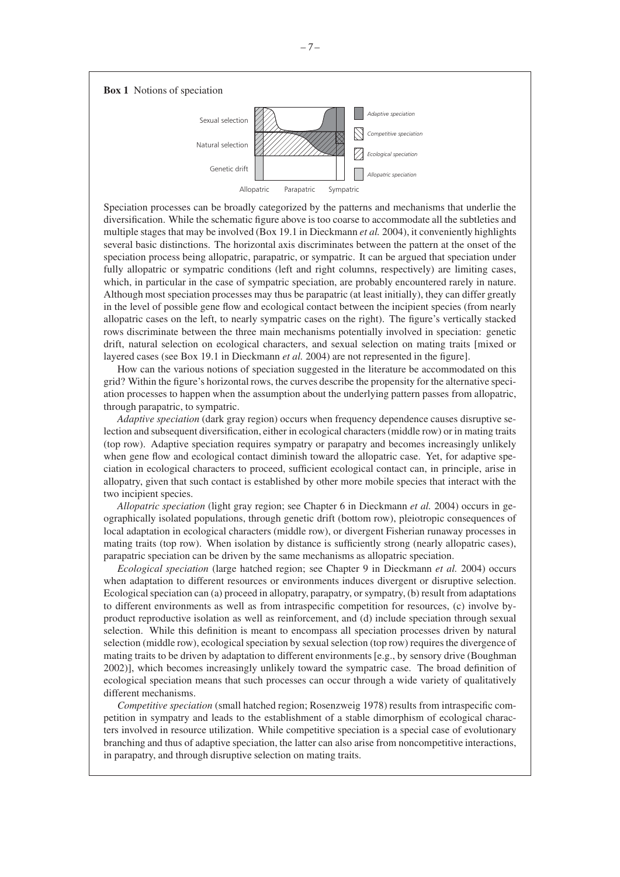

Speciation processes can be broadly categorized by the patterns and mechanisms that underlie the diversification. While the schematic figure above is too coarse to accommodate all the subtleties and multiple stages that may be involved (Box 19.1 in Dieckmann *et al.* 2004), it conveniently highlights several basic distinctions. The horizontal axis discriminates between the pattern at the onset of the speciation process being allopatric, parapatric, or sympatric. It can be argued that speciation under fully allopatric or sympatric conditions (left and right columns, respectively) are limiting cases, which, in particular in the case of sympatric speciation, are probably encountered rarely in nature. Although most speciation processes may thus be parapatric (at least initially), they can differ greatly in the level of possible gene flow and ecological contact between the incipient species (from nearly allopatric cases on the left, to nearly sympatric cases on the right). The figure's vertically stacked rows discriminate between the three main mechanisms potentially involved in speciation: genetic drift, natural selection on ecological characters, and sexual selection on mating traits [mixed or layered cases (see Box 19.1 in Dieckmann *et al.* 2004) are not represented in the figure].

How can the various notions of speciation suggested in the literature be accommodated on this grid? Within the figure's horizontal rows, the curves describe the propensity for the alternative speciation processes to happen when the assumption about the underlying pattern passes from allopatric, through parapatric, to sympatric.

*Adaptive speciation* (dark gray region) occurs when frequency dependence causes disruptive selection and subsequent diversification, either in ecological characters (middle row) or in mating traits (top row). Adaptive speciation requires sympatry or parapatry and becomes increasingly unlikely when gene flow and ecological contact diminish toward the allopatric case. Yet, for adaptive speciation in ecological characters to proceed, sufficient ecological contact can, in principle, arise in allopatry, given that such contact is established by other more mobile species that interact with the two incipient species.

*Allopatric speciation* (light gray region; see Chapter 6 in Dieckmann *et al.* 2004) occurs in geographically isolated populations, through genetic drift (bottom row), pleiotropic consequences of local adaptation in ecological characters (middle row), or divergent Fisherian runaway processes in mating traits (top row). When isolation by distance is sufficiently strong (nearly allopatric cases), parapatric speciation can be driven by the same mechanisms as allopatric speciation.

*Ecological speciation* (large hatched region; see Chapter 9 in Dieckmann *et al.* 2004) occurs when adaptation to different resources or environments induces divergent or disruptive selection. Ecological speciation can (a) proceed in allopatry, parapatry, or sympatry, (b) result from adaptations to different environments as well as from intraspecific competition for resources, (c) involve byproduct reproductive isolation as well as reinforcement, and (d) include speciation through sexual selection. While this definition is meant to encompass all speciation processes driven by natural selection (middle row), ecological speciation by sexual selection (top row) requires the divergence of mating traits to be driven by adaptation to different environments [e.g., by sensory drive (Boughman 2002)], which becomes increasingly unlikely toward the sympatric case. The broad definition of ecological speciation means that such processes can occur through a wide variety of qualitatively different mechanisms.

*Competitive speciation* (small hatched region; Rosenzweig 1978) results from intraspecific competition in sympatry and leads to the establishment of a stable dimorphism of ecological characters involved in resource utilization. While competitive speciation is a special case of evolutionary branching and thus of adaptive speciation, the latter can also arise from noncompetitive interactions, in parapatry, and through disruptive selection on mating traits.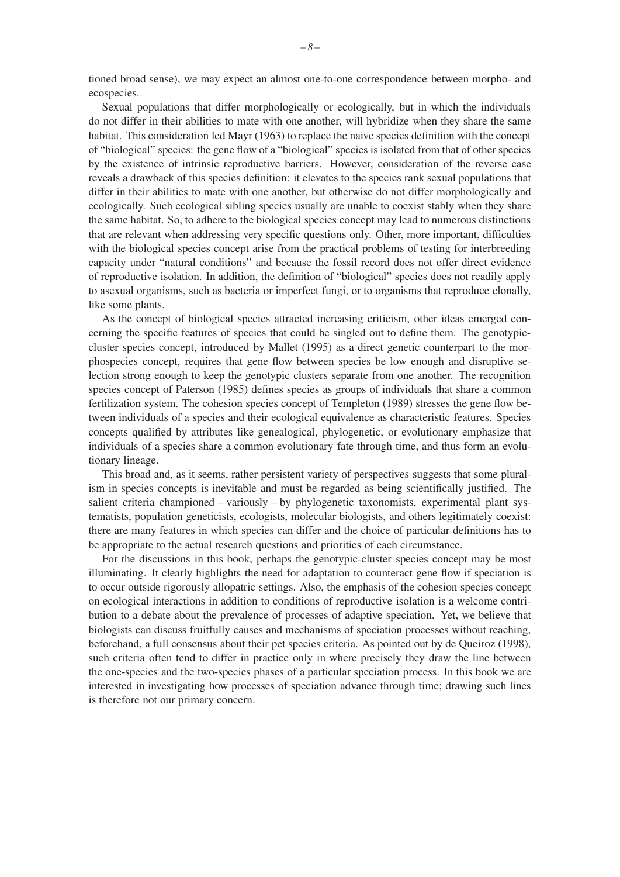tioned broad sense), we may expect an almost one-to-one correspondence between morpho- and ecospecies.

Sexual populations that differ morphologically or ecologically, but in which the individuals do not differ in their abilities to mate with one another, will hybridize when they share the same habitat. This consideration led Mayr (1963) to replace the naive species definition with the concept of "biological" species: the gene flow of a "biological" species is isolated from that of other species by the existence of intrinsic reproductive barriers. However, consideration of the reverse case reveals a drawback of this species definition: it elevates to the species rank sexual populations that differ in their abilities to mate with one another, but otherwise do not differ morphologically and ecologically. Such ecological sibling species usually are unable to coexist stably when they share the same habitat. So, to adhere to the biological species concept may lead to numerous distinctions that are relevant when addressing very specific questions only. Other, more important, difficulties with the biological species concept arise from the practical problems of testing for interbreeding capacity under "natural conditions" and because the fossil record does not offer direct evidence of reproductive isolation. In addition, the definition of "biological" species does not readily apply to asexual organisms, such as bacteria or imperfect fungi, or to organisms that reproduce clonally, like some plants.

As the concept of biological species attracted increasing criticism, other ideas emerged concerning the specific features of species that could be singled out to define them. The genotypiccluster species concept, introduced by Mallet (1995) as a direct genetic counterpart to the morphospecies concept, requires that gene flow between species be low enough and disruptive selection strong enough to keep the genotypic clusters separate from one another. The recognition species concept of Paterson (1985) defines species as groups of individuals that share a common fertilization system. The cohesion species concept of Templeton (1989) stresses the gene flow between individuals of a species and their ecological equivalence as characteristic features. Species concepts qualified by attributes like genealogical, phylogenetic, or evolutionary emphasize that individuals of a species share a common evolutionary fate through time, and thus form an evolutionary lineage.

This broad and, as it seems, rather persistent variety of perspectives suggests that some pluralism in species concepts is inevitable and must be regarded as being scientifically justified. The salient criteria championed – variously – by phylogenetic taxonomists, experimental plant systematists, population geneticists, ecologists, molecular biologists, and others legitimately coexist: there are many features in which species can differ and the choice of particular definitions has to be appropriate to the actual research questions and priorities of each circumstance.

For the discussions in this book, perhaps the genotypic-cluster species concept may be most illuminating. It clearly highlights the need for adaptation to counteract gene flow if speciation is to occur outside rigorously allopatric settings. Also, the emphasis of the cohesion species concept on ecological interactions in addition to conditions of reproductive isolation is a welcome contribution to a debate about the prevalence of processes of adaptive speciation. Yet, we believe that biologists can discuss fruitfully causes and mechanisms of speciation processes without reaching, beforehand, a full consensus about their pet species criteria. As pointed out by de Queiroz (1998), such criteria often tend to differ in practice only in where precisely they draw the line between the one-species and the two-species phases of a particular speciation process. In this book we are interested in investigating how processes of speciation advance through time; drawing such lines is therefore not our primary concern.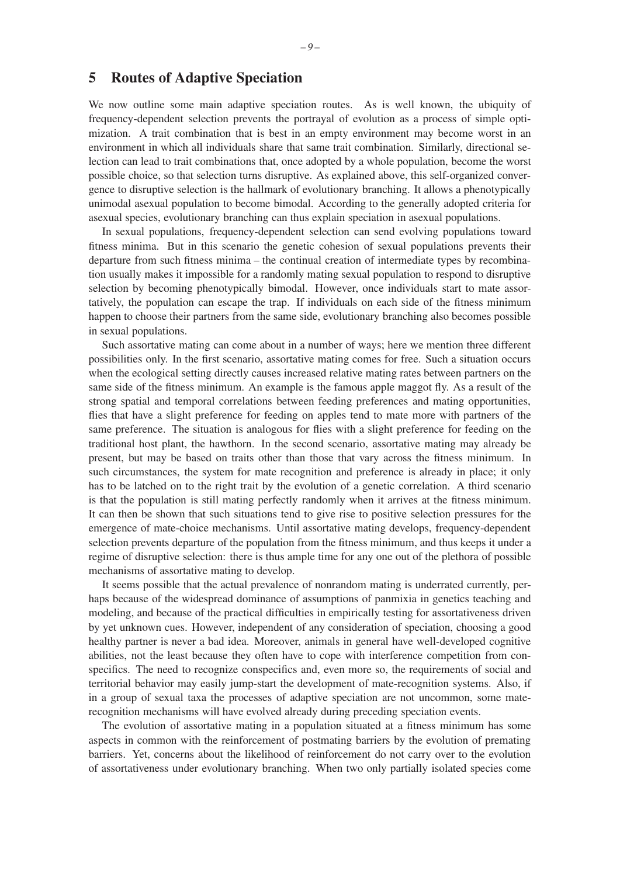#### **5 Routes of Adaptive Speciation**

We now outline some main adaptive speciation routes. As is well known, the ubiquity of frequency-dependent selection prevents the portrayal of evolution as a process of simple optimization. A trait combination that is best in an empty environment may become worst in an environment in which all individuals share that same trait combination. Similarly, directional selection can lead to trait combinations that, once adopted by a whole population, become the worst possible choice, so that selection turns disruptive. As explained above, this self-organized convergence to disruptive selection is the hallmark of evolutionary branching. It allows a phenotypically unimodal asexual population to become bimodal. According to the generally adopted criteria for asexual species, evolutionary branching can thus explain speciation in asexual populations.

In sexual populations, frequency-dependent selection can send evolving populations toward fitness minima. But in this scenario the genetic cohesion of sexual populations prevents their departure from such fitness minima – the continual creation of intermediate types by recombination usually makes it impossible for a randomly mating sexual population to respond to disruptive selection by becoming phenotypically bimodal. However, once individuals start to mate assortatively, the population can escape the trap. If individuals on each side of the fitness minimum happen to choose their partners from the same side, evolutionary branching also becomes possible in sexual populations.

Such assortative mating can come about in a number of ways; here we mention three different possibilities only. In the first scenario, assortative mating comes for free. Such a situation occurs when the ecological setting directly causes increased relative mating rates between partners on the same side of the fitness minimum. An example is the famous apple maggot fly. As a result of the strong spatial and temporal correlations between feeding preferences and mating opportunities, flies that have a slight preference for feeding on apples tend to mate more with partners of the same preference. The situation is analogous for flies with a slight preference for feeding on the traditional host plant, the hawthorn. In the second scenario, assortative mating may already be present, but may be based on traits other than those that vary across the fitness minimum. In such circumstances, the system for mate recognition and preference is already in place; it only has to be latched on to the right trait by the evolution of a genetic correlation. A third scenario is that the population is still mating perfectly randomly when it arrives at the fitness minimum. It can then be shown that such situations tend to give rise to positive selection pressures for the emergence of mate-choice mechanisms. Until assortative mating develops, frequency-dependent selection prevents departure of the population from the fitness minimum, and thus keeps it under a regime of disruptive selection: there is thus ample time for any one out of the plethora of possible mechanisms of assortative mating to develop.

It seems possible that the actual prevalence of nonrandom mating is underrated currently, perhaps because of the widespread dominance of assumptions of panmixia in genetics teaching and modeling, and because of the practical difficulties in empirically testing for assortativeness driven by yet unknown cues. However, independent of any consideration of speciation, choosing a good healthy partner is never a bad idea. Moreover, animals in general have well-developed cognitive abilities, not the least because they often have to cope with interference competition from conspecifics. The need to recognize conspecifics and, even more so, the requirements of social and territorial behavior may easily jump-start the development of mate-recognition systems. Also, if in a group of sexual taxa the processes of adaptive speciation are not uncommon, some materecognition mechanisms will have evolved already during preceding speciation events.

The evolution of assortative mating in a population situated at a fitness minimum has some aspects in common with the reinforcement of postmating barriers by the evolution of premating barriers. Yet, concerns about the likelihood of reinforcement do not carry over to the evolution of assortativeness under evolutionary branching. When two only partially isolated species come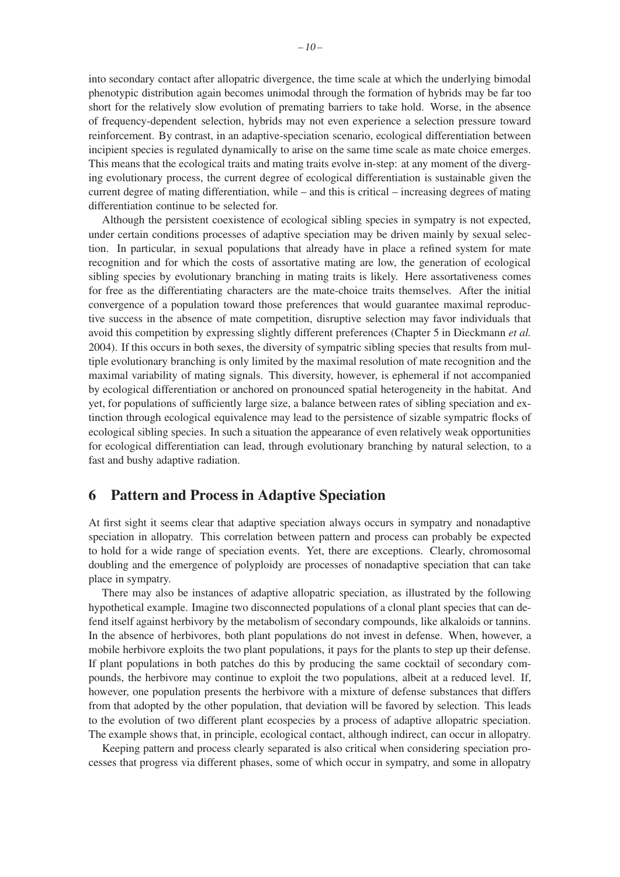into secondary contact after allopatric divergence, the time scale at which the underlying bimodal phenotypic distribution again becomes unimodal through the formation of hybrids may be far too short for the relatively slow evolution of premating barriers to take hold. Worse, in the absence of frequency-dependent selection, hybrids may not even experience a selection pressure toward reinforcement. By contrast, in an adaptive-speciation scenario, ecological differentiation between incipient species is regulated dynamically to arise on the same time scale as mate choice emerges. This means that the ecological traits and mating traits evolve in-step: at any moment of the diverging evolutionary process, the current degree of ecological differentiation is sustainable given the current degree of mating differentiation, while – and this is critical – increasing degrees of mating differentiation continue to be selected for.

Although the persistent coexistence of ecological sibling species in sympatry is not expected, under certain conditions processes of adaptive speciation may be driven mainly by sexual selection. In particular, in sexual populations that already have in place a refined system for mate recognition and for which the costs of assortative mating are low, the generation of ecological sibling species by evolutionary branching in mating traits is likely. Here assortativeness comes for free as the differentiating characters are the mate-choice traits themselves. After the initial convergence of a population toward those preferences that would guarantee maximal reproductive success in the absence of mate competition, disruptive selection may favor individuals that avoid this competition by expressing slightly different preferences (Chapter 5 in Dieckmann *et al.* 2004). If this occurs in both sexes, the diversity of sympatric sibling species that results from multiple evolutionary branching is only limited by the maximal resolution of mate recognition and the maximal variability of mating signals. This diversity, however, is ephemeral if not accompanied by ecological differentiation or anchored on pronounced spatial heterogeneity in the habitat. And yet, for populations of sufficiently large size, a balance between rates of sibling speciation and extinction through ecological equivalence may lead to the persistence of sizable sympatric flocks of ecological sibling species. In such a situation the appearance of even relatively weak opportunities for ecological differentiation can lead, through evolutionary branching by natural selection, to a fast and bushy adaptive radiation.

#### **6 Pattern and Process in Adaptive Speciation**

At first sight it seems clear that adaptive speciation always occurs in sympatry and nonadaptive speciation in allopatry. This correlation between pattern and process can probably be expected to hold for a wide range of speciation events. Yet, there are exceptions. Clearly, chromosomal doubling and the emergence of polyploidy are processes of nonadaptive speciation that can take place in sympatry.

There may also be instances of adaptive allopatric speciation, as illustrated by the following hypothetical example. Imagine two disconnected populations of a clonal plant species that can defend itself against herbivory by the metabolism of secondary compounds, like alkaloids or tannins. In the absence of herbivores, both plant populations do not invest in defense. When, however, a mobile herbivore exploits the two plant populations, it pays for the plants to step up their defense. If plant populations in both patches do this by producing the same cocktail of secondary compounds, the herbivore may continue to exploit the two populations, albeit at a reduced level. If, however, one population presents the herbivore with a mixture of defense substances that differs from that adopted by the other population, that deviation will be favored by selection. This leads to the evolution of two different plant ecospecies by a process of adaptive allopatric speciation. The example shows that, in principle, ecological contact, although indirect, can occur in allopatry.

Keeping pattern and process clearly separated is also critical when considering speciation processes that progress via different phases, some of which occur in sympatry, and some in allopatry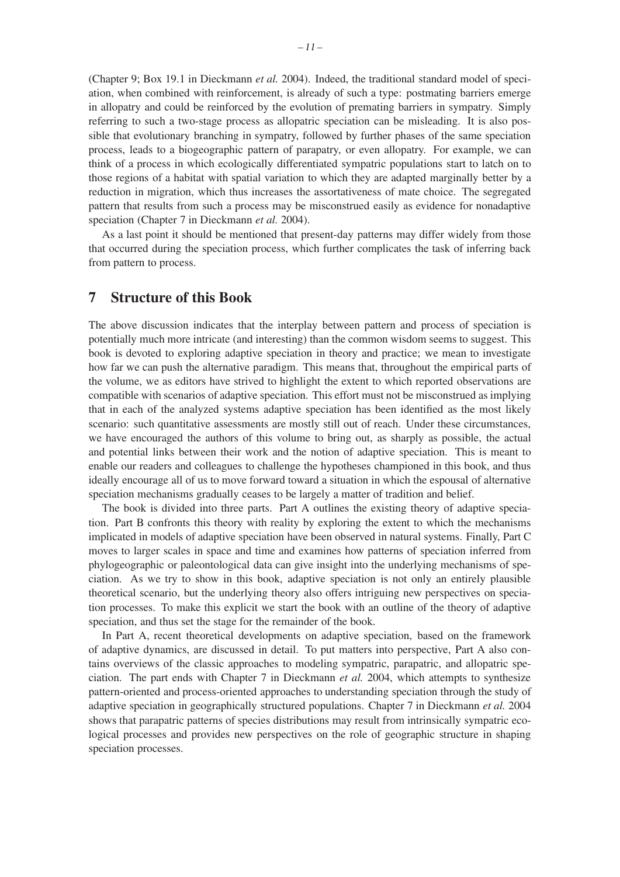(Chapter 9; Box 19.1 in Dieckmann *et al.* 2004). Indeed, the traditional standard model of speciation, when combined with reinforcement, is already of such a type: postmating barriers emerge in allopatry and could be reinforced by the evolution of premating barriers in sympatry. Simply referring to such a two-stage process as allopatric speciation can be misleading. It is also possible that evolutionary branching in sympatry, followed by further phases of the same speciation process, leads to a biogeographic pattern of parapatry, or even allopatry. For example, we can think of a process in which ecologically differentiated sympatric populations start to latch on to those regions of a habitat with spatial variation to which they are adapted marginally better by a reduction in migration, which thus increases the assortativeness of mate choice. The segregated pattern that results from such a process may be misconstrued easily as evidence for nonadaptive speciation (Chapter 7 in Dieckmann *et al.* 2004).

As a last point it should be mentioned that present-day patterns may differ widely from those that occurred during the speciation process, which further complicates the task of inferring back from pattern to process.

#### **7 Structure of this Book**

The above discussion indicates that the interplay between pattern and process of speciation is potentially much more intricate (and interesting) than the common wisdom seems to suggest. This book is devoted to exploring adaptive speciation in theory and practice; we mean to investigate how far we can push the alternative paradigm. This means that, throughout the empirical parts of the volume, we as editors have strived to highlight the extent to which reported observations are compatible with scenarios of adaptive speciation. This effort must not be misconstrued as implying that in each of the analyzed systems adaptive speciation has been identified as the most likely scenario: such quantitative assessments are mostly still out of reach. Under these circumstances, we have encouraged the authors of this volume to bring out, as sharply as possible, the actual and potential links between their work and the notion of adaptive speciation. This is meant to enable our readers and colleagues to challenge the hypotheses championed in this book, and thus ideally encourage all of us to move forward toward a situation in which the espousal of alternative speciation mechanisms gradually ceases to be largely a matter of tradition and belief.

The book is divided into three parts. Part A outlines the existing theory of adaptive speciation. Part B confronts this theory with reality by exploring the extent to which the mechanisms implicated in models of adaptive speciation have been observed in natural systems. Finally, Part C moves to larger scales in space and time and examines how patterns of speciation inferred from phylogeographic or paleontological data can give insight into the underlying mechanisms of speciation. As we try to show in this book, adaptive speciation is not only an entirely plausible theoretical scenario, but the underlying theory also offers intriguing new perspectives on speciation processes. To make this explicit we start the book with an outline of the theory of adaptive speciation, and thus set the stage for the remainder of the book.

In Part A, recent theoretical developments on adaptive speciation, based on the framework of adaptive dynamics, are discussed in detail. To put matters into perspective, Part A also contains overviews of the classic approaches to modeling sympatric, parapatric, and allopatric speciation. The part ends with Chapter 7 in Dieckmann *et al.* 2004, which attempts to synthesize pattern-oriented and process-oriented approaches to understanding speciation through the study of adaptive speciation in geographically structured populations. Chapter 7 in Dieckmann *et al.* 2004 shows that parapatric patterns of species distributions may result from intrinsically sympatric ecological processes and provides new perspectives on the role of geographic structure in shaping speciation processes.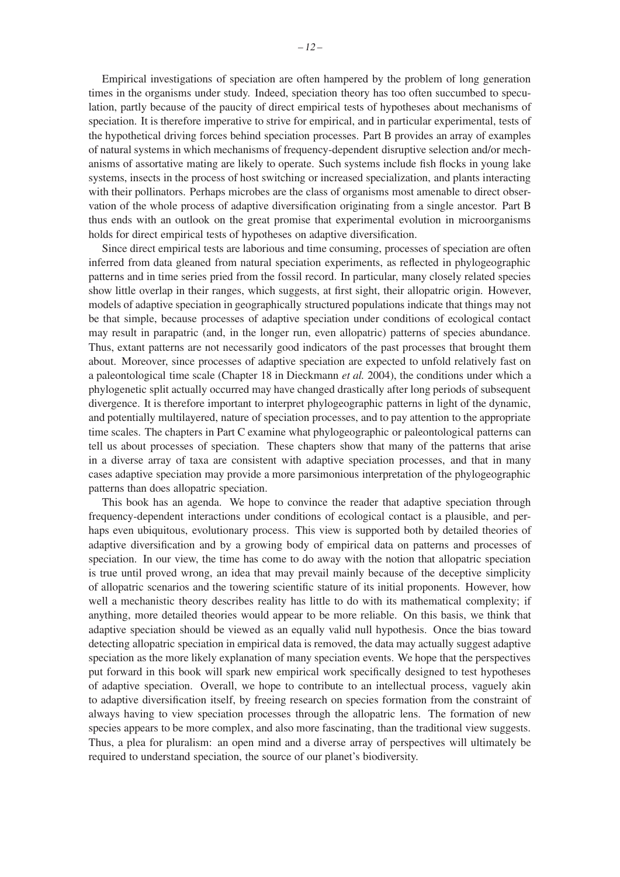Empirical investigations of speciation are often hampered by the problem of long generation times in the organisms under study. Indeed, speciation theory has too often succumbed to speculation, partly because of the paucity of direct empirical tests of hypotheses about mechanisms of speciation. It is therefore imperative to strive for empirical, and in particular experimental, tests of the hypothetical driving forces behind speciation processes. Part B provides an array of examples of natural systems in which mechanisms of frequency-dependent disruptive selection and/or mechanisms of assortative mating are likely to operate. Such systems include fish flocks in young lake systems, insects in the process of host switching or increased specialization, and plants interacting with their pollinators. Perhaps microbes are the class of organisms most amenable to direct observation of the whole process of adaptive diversification originating from a single ancestor. Part B thus ends with an outlook on the great promise that experimental evolution in microorganisms holds for direct empirical tests of hypotheses on adaptive diversification.

Since direct empirical tests are laborious and time consuming, processes of speciation are often inferred from data gleaned from natural speciation experiments, as reflected in phylogeographic patterns and in time series pried from the fossil record. In particular, many closely related species show little overlap in their ranges, which suggests, at first sight, their allopatric origin. However, models of adaptive speciation in geographically structured populations indicate that things may not be that simple, because processes of adaptive speciation under conditions of ecological contact may result in parapatric (and, in the longer run, even allopatric) patterns of species abundance. Thus, extant patterns are not necessarily good indicators of the past processes that brought them about. Moreover, since processes of adaptive speciation are expected to unfold relatively fast on a paleontological time scale (Chapter 18 in Dieckmann *et al.* 2004), the conditions under which a phylogenetic split actually occurred may have changed drastically after long periods of subsequent divergence. It is therefore important to interpret phylogeographic patterns in light of the dynamic, and potentially multilayered, nature of speciation processes, and to pay attention to the appropriate time scales. The chapters in Part C examine what phylogeographic or paleontological patterns can tell us about processes of speciation. These chapters show that many of the patterns that arise in a diverse array of taxa are consistent with adaptive speciation processes, and that in many cases adaptive speciation may provide a more parsimonious interpretation of the phylogeographic patterns than does allopatric speciation.

This book has an agenda. We hope to convince the reader that adaptive speciation through frequency-dependent interactions under conditions of ecological contact is a plausible, and perhaps even ubiquitous, evolutionary process. This view is supported both by detailed theories of adaptive diversification and by a growing body of empirical data on patterns and processes of speciation. In our view, the time has come to do away with the notion that allopatric speciation is true until proved wrong, an idea that may prevail mainly because of the deceptive simplicity of allopatric scenarios and the towering scientific stature of its initial proponents. However, how well a mechanistic theory describes reality has little to do with its mathematical complexity; if anything, more detailed theories would appear to be more reliable. On this basis, we think that adaptive speciation should be viewed as an equally valid null hypothesis. Once the bias toward detecting allopatric speciation in empirical data is removed, the data may actually suggest adaptive speciation as the more likely explanation of many speciation events. We hope that the perspectives put forward in this book will spark new empirical work specifically designed to test hypotheses of adaptive speciation. Overall, we hope to contribute to an intellectual process, vaguely akin to adaptive diversification itself, by freeing research on species formation from the constraint of always having to view speciation processes through the allopatric lens. The formation of new species appears to be more complex, and also more fascinating, than the traditional view suggests. Thus, a plea for pluralism: an open mind and a diverse array of perspectives will ultimately be required to understand speciation, the source of our planet's biodiversity.